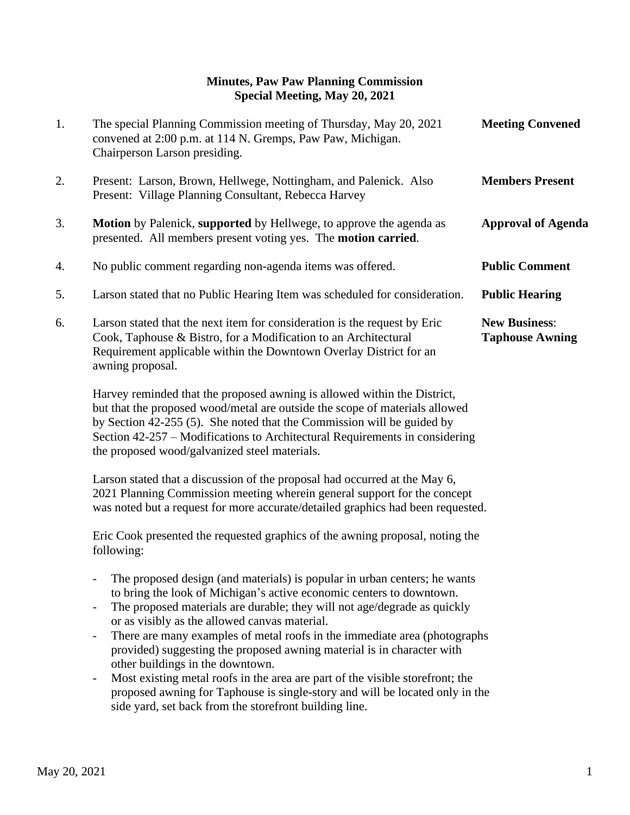## **Minutes, Paw Paw Planning Commission Special Meeting, May 20, 2021**

| 1. | The special Planning Commission meeting of Thursday, May 20, 2021<br>convened at 2:00 p.m. at 114 N. Gremps, Paw Paw, Michigan.<br>Chairperson Larson presiding.                                                                       | <b>Meeting Convened</b>                        |
|----|----------------------------------------------------------------------------------------------------------------------------------------------------------------------------------------------------------------------------------------|------------------------------------------------|
| 2. | Present: Larson, Brown, Hellwege, Nottingham, and Palenick. Also<br>Present: Village Planning Consultant, Rebecca Harvey                                                                                                               | <b>Members Present</b>                         |
| 3. | <b>Motion</b> by Palenick, supported by Hellwege, to approve the agenda as<br>presented. All members present voting yes. The <b>motion carried</b> .                                                                                   | <b>Approval of Agenda</b>                      |
| 4. | No public comment regarding non-agenda items was offered.                                                                                                                                                                              | <b>Public Comment</b>                          |
| 5. | Larson stated that no Public Hearing Item was scheduled for consideration.                                                                                                                                                             | <b>Public Hearing</b>                          |
| 6. | Larson stated that the next item for consideration is the request by Eric<br>Cook, Taphouse & Bistro, for a Modification to an Architectural<br>Requirement applicable within the Downtown Overlay District for an<br>awning proposal. | <b>New Business:</b><br><b>Taphouse Awning</b> |
|    | Harvey reminded that the proposed awning is allowed within the District.                                                                                                                                                               |                                                |

 Harvey reminded that the proposed awning is allowed within the District, but that the proposed wood/metal are outside the scope of materials allowed by Section 42-255 (5). She noted that the Commission will be guided by Section 42-257 – Modifications to Architectural Requirements in considering the proposed wood/galvanized steel materials.

 Larson stated that a discussion of the proposal had occurred at the May 6, 2021 Planning Commission meeting wherein general support for the concept was noted but a request for more accurate/detailed graphics had been requested.

 Eric Cook presented the requested graphics of the awning proposal, noting the following:

- The proposed design (and materials) is popular in urban centers; he wants to bring the look of Michigan's active economic centers to downtown.
- The proposed materials are durable; they will not age/degrade as quickly or as visibly as the allowed canvas material.
- There are many examples of metal roofs in the immediate area (photographs provided) suggesting the proposed awning material is in character with other buildings in the downtown.
- Most existing metal roofs in the area are part of the visible storefront; the proposed awning for Taphouse is single-story and will be located only in the side yard, set back from the storefront building line.